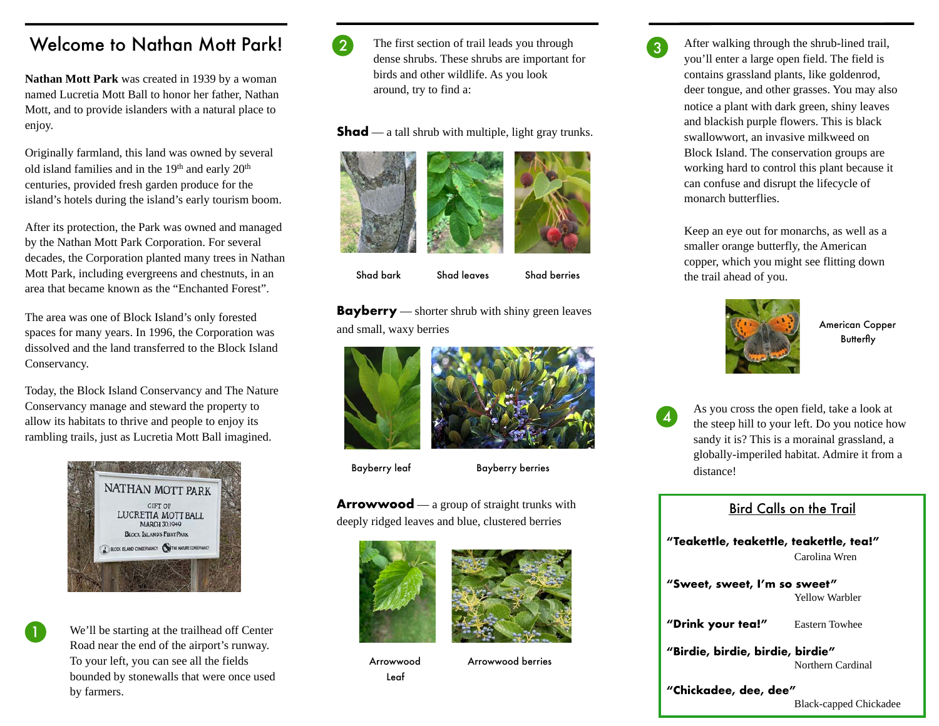## Welcome to Nathan Mott Park!

**Nathan Mott Park** was created in 1939 by a woman named Lucretia Mott Ball to honor her father, Nathan Mott, and to provide islanders with a natural place to enjoy.

Originally farmland, this land was owned by several old island families and in the 19th and early 20th centuries, provided fresh garden produce for the island's hotels during the island's early tourism boom.

After its protection, the Park was owned and managed by the Nathan Mott Park Corporation. For several decades, the Corporation planted many trees in Nathan Mott Park, including evergreens and chestnuts, in an area that became known as the "Enchanted Forest".

The area was one of Block Island's only forested spaces for many years. In 1996, the Corporation was dissolved and the land transferred to the Block Island Conservancy.

Today, the Block Island Conservancy and The Nature Conservancy manage and steward the property to allow its habitats to thrive and people to enjoy its rambling trails, just as Lucretia Mott Ball imagined.



We'll be starting at the trailhead off Center Road near the end of the airport's runway. To your left, you can see all the fields bounded by stonewalls that were once used by farmers.



2 The first section of trail leads you through dense shrubs. These shrubs are important for birds and other wildlife. As you look around, try to find a:

**Shad** — a tall shrub with multiple, light gray trunks.



**Shad bark** Shad leaves Shad berries

**Bayberry** — shorter shrub with shiny green leaves and small, waxy berries



Bayberry leaf Bayberry berries

**Arrowwood** — a group of straight trunks with deeply ridged leaves and blue, clustered berries





Leaf

Arrowwood Arrowwood berries

After walking through the shrub-lined trail, you'll enter a large open field. The field is contains grassland plants, like goldenrod, deer tongue, and other grasses. You may also notice a plant with dark green, shiny leaves and blackish purple flowers. This is black swallowwort, an invasive milkweed on Block Island. The conservation groups are working hard to control this plant because it can confuse and disrupt the lifecycle of monarch butterflies.

Keep an eye out for monarchs, as well as a smaller orange butterfly, the American copper, which you might see flitting down the trail ahead of you.



American Copper Butterfly

<sup>4</sup> As you cross the open field, take a look at the steep hill to your left. Do you notice how sandy it is? This is a morainal grassland, a globally-imperiled habitat. Admire it from a distance!

## Bird Calls on the Trail

**"Teakettle, teakettle, teakettle, tea!"**  Carolina Wren

**"Sweet, sweet, I'm so sweet"**  Yellow Warbler

**"Drink your tea!"** Eastern Towhee

**"Birdie, birdie, birdie, birdie"** Northern Cardinal

**"Chickadee, dee, dee"** Black-capped Chickadee